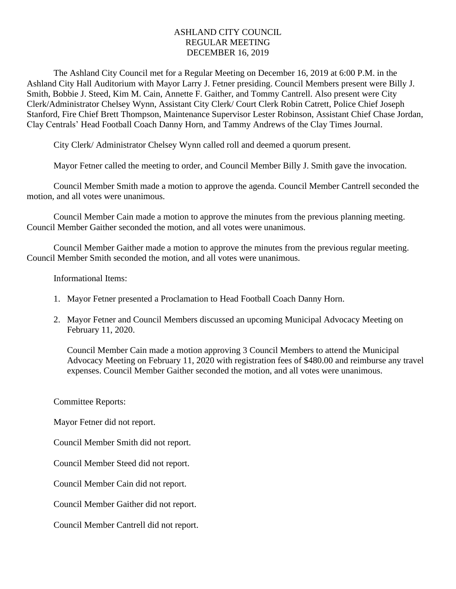## ASHLAND CITY COUNCIL REGULAR MEETING DECEMBER 16, 2019

The Ashland City Council met for a Regular Meeting on December 16, 2019 at 6:00 P.M. in the Ashland City Hall Auditorium with Mayor Larry J. Fetner presiding. Council Members present were Billy J. Smith, Bobbie J. Steed, Kim M. Cain, Annette F. Gaither, and Tommy Cantrell. Also present were City Clerk/Administrator Chelsey Wynn, Assistant City Clerk/ Court Clerk Robin Catrett, Police Chief Joseph Stanford, Fire Chief Brett Thompson, Maintenance Supervisor Lester Robinson, Assistant Chief Chase Jordan, Clay Centrals' Head Football Coach Danny Horn, and Tammy Andrews of the Clay Times Journal.

City Clerk/ Administrator Chelsey Wynn called roll and deemed a quorum present.

Mayor Fetner called the meeting to order, and Council Member Billy J. Smith gave the invocation.

Council Member Smith made a motion to approve the agenda. Council Member Cantrell seconded the motion, and all votes were unanimous.

Council Member Cain made a motion to approve the minutes from the previous planning meeting. Council Member Gaither seconded the motion, and all votes were unanimous.

Council Member Gaither made a motion to approve the minutes from the previous regular meeting. Council Member Smith seconded the motion, and all votes were unanimous.

Informational Items:

- 1. Mayor Fetner presented a Proclamation to Head Football Coach Danny Horn.
- 2. Mayor Fetner and Council Members discussed an upcoming Municipal Advocacy Meeting on February 11, 2020.

Council Member Cain made a motion approving 3 Council Members to attend the Municipal Advocacy Meeting on February 11, 2020 with registration fees of \$480.00 and reimburse any travel expenses. Council Member Gaither seconded the motion, and all votes were unanimous.

Committee Reports:

Mayor Fetner did not report.

Council Member Smith did not report.

Council Member Steed did not report.

Council Member Cain did not report.

Council Member Gaither did not report.

Council Member Cantrell did not report.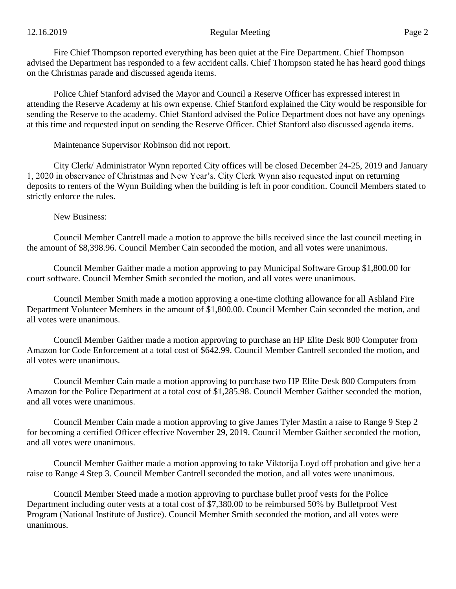Fire Chief Thompson reported everything has been quiet at the Fire Department. Chief Thompson advised the Department has responded to a few accident calls. Chief Thompson stated he has heard good things on the Christmas parade and discussed agenda items.

Police Chief Stanford advised the Mayor and Council a Reserve Officer has expressed interest in attending the Reserve Academy at his own expense. Chief Stanford explained the City would be responsible for sending the Reserve to the academy. Chief Stanford advised the Police Department does not have any openings at this time and requested input on sending the Reserve Officer. Chief Stanford also discussed agenda items.

Maintenance Supervisor Robinson did not report.

City Clerk/ Administrator Wynn reported City offices will be closed December 24-25, 2019 and January 1, 2020 in observance of Christmas and New Year's. City Clerk Wynn also requested input on returning deposits to renters of the Wynn Building when the building is left in poor condition. Council Members stated to strictly enforce the rules.

New Business:

Council Member Cantrell made a motion to approve the bills received since the last council meeting in the amount of \$8,398.96. Council Member Cain seconded the motion, and all votes were unanimous.

Council Member Gaither made a motion approving to pay Municipal Software Group \$1,800.00 for court software. Council Member Smith seconded the motion, and all votes were unanimous.

Council Member Smith made a motion approving a one-time clothing allowance for all Ashland Fire Department Volunteer Members in the amount of \$1,800.00. Council Member Cain seconded the motion, and all votes were unanimous.

Council Member Gaither made a motion approving to purchase an HP Elite Desk 800 Computer from Amazon for Code Enforcement at a total cost of \$642.99. Council Member Cantrell seconded the motion, and all votes were unanimous.

Council Member Cain made a motion approving to purchase two HP Elite Desk 800 Computers from Amazon for the Police Department at a total cost of \$1,285.98. Council Member Gaither seconded the motion, and all votes were unanimous.

Council Member Cain made a motion approving to give James Tyler Mastin a raise to Range 9 Step 2 for becoming a certified Officer effective November 29, 2019. Council Member Gaither seconded the motion, and all votes were unanimous.

Council Member Gaither made a motion approving to take Viktorija Loyd off probation and give her a raise to Range 4 Step 3. Council Member Cantrell seconded the motion, and all votes were unanimous.

Council Member Steed made a motion approving to purchase bullet proof vests for the Police Department including outer vests at a total cost of \$7,380.00 to be reimbursed 50% by Bulletproof Vest Program (National Institute of Justice). Council Member Smith seconded the motion, and all votes were unanimous.